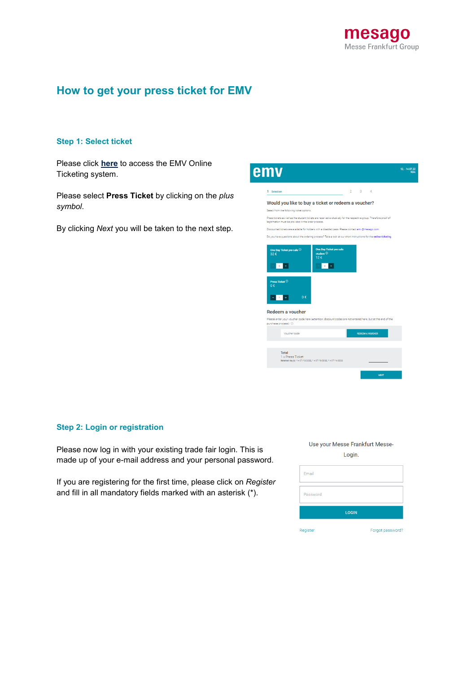

# **How to get your press ticket for EMV**

## **Step 1: Select ticket**

Please click **[here](https://visitortickets.messefrankfurt.com/ticket/en/ticket_select.html?reset_remove_personalized_tickets=true&_appshop=mf_tap20160620_1617)** to access the EMV Online Ticketing system.

Please select **Press Ticket** by clicking on the *plus symbol*.

By clicking *Next* you will be taken to the next step.

| emv                                                                                    | 12. - 14.07.22                                                                                                     |
|----------------------------------------------------------------------------------------|--------------------------------------------------------------------------------------------------------------------|
| 1 Selection                                                                            | $2 \times 3$<br>$\Delta$                                                                                           |
|                                                                                        | Would you like to buy a ticket or redeem a voucher?                                                                |
| Select from the following ticket options.                                              |                                                                                                                    |
| legitimation must be provided in the order process.                                    | Press tickets as well as the student tickets are reserved exclusively for the respective group. Therefore proof of |
|                                                                                        | Discounted tickets are available for holders with a disabled pass. Please contact emv@mesago.com.                  |
|                                                                                        | Do you have questions about the ordering process? Take a look at our short instructions for the online ticketing.  |
| $\circ$<br>$\ddot{}$<br>Press Ticket <sup>(1)</sup><br>0 <sup>6</sup><br>$-11 +$<br>0€ | 12f<br>$\circ$                                                                                                     |
| Redeem a voucher                                                                       |                                                                                                                    |
| purchase process). 1                                                                   | Please enter your voucher code here (Attention: discount codes are not entered here, but at the end of the         |
| Voucher code                                                                           | <b>REDEEM A VOUCHER</b>                                                                                            |
|                                                                                        |                                                                                                                    |

# **Step 2: Login or registration**

Please now log in with your existing trade fair login. This is made up of your e-mail address and your personal password.

If you are registering for the first time, please click on *Register* and fill in all mandatory fields marked with an asterisk (\*).

### Use your Messe Frankfurt Messe-

Login.

| Email    |                  |
|----------|------------------|
| Password |                  |
|          | <b>LOGIN</b>     |
| Register | Forgot password? |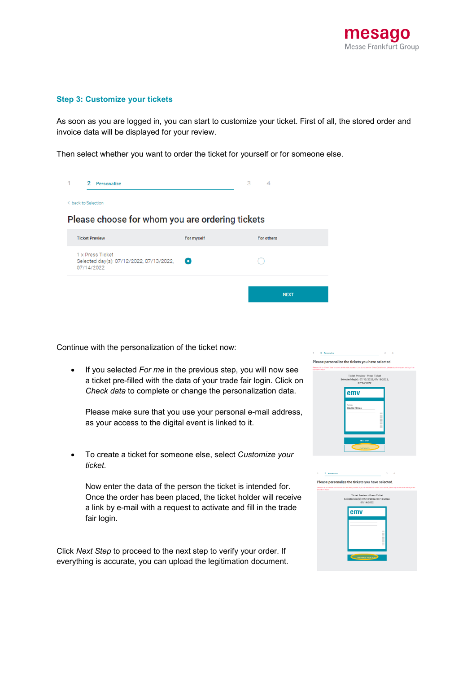

#### **Step 3: Customize your tickets**

As soon as you are logged in, you can start to customize your ticket. First of all, the stored order and invoice data will be displayed for your review.

Then select whether you want to order the ticket for yourself or for someone else.

| 2 Personalize                                                              |            | 3<br>$\overline{4}$ |
|----------------------------------------------------------------------------|------------|---------------------|
| < back to Selection                                                        |            |                     |
| Please choose for whom you are ordering tickets                            |            |                     |
| <b>Ticket Preview</b>                                                      | For myself | For others          |
| 1 x Press Ticket<br>Selected day(s): 07/12/2022, 07/13/2022,<br>07/14/2022 | О          |                     |
|                                                                            |            | <b>NEXT</b>         |

Continue with the personalization of the ticket now:

 If you selected *For me* in the previous step, you will now see a ticket pre-filled with the data of your trade fair login. Click on *Check data* to complete or change the personalization data.

Please make sure that you use your personal e-mail address, as your access to the digital event is linked to it.

 To create a ticket for someone else, select *Customize your ticket*.

Now enter the data of the person the ticket is intended for. Once the order has been placed, the ticket holder will receive a link by e-mail with a request to activate and fill in the trade fair login.

Click *Next Step* to proceed to the next step to verify your order. If everything is accurate, you can upload the legitimation document.



| Personalize |                                                                                                                                         | $\overline{\mathfrak{X}}$ |
|-------------|-----------------------------------------------------------------------------------------------------------------------------------------|---------------------------|
|             | ease personalize the tickets you have selected.                                                                                         |                           |
| der « hobis | as click on "Check Cata" to continue the order process. If you do not see the "Check Cata" butter, please adjust the zoom setting of th |                           |
|             | Ticket Preview - Press Ticket<br>Selected day(s): 07/12/2022, 07/13/2022.<br>07/14/2022                                                 |                           |
|             | emv                                                                                                                                     |                           |
|             |                                                                                                                                         |                           |
|             |                                                                                                                                         | ▕▏                        |
|             |                                                                                                                                         |                           |
|             | CURTOWER YOUR TICKET                                                                                                                    |                           |

 $\overline{P}$